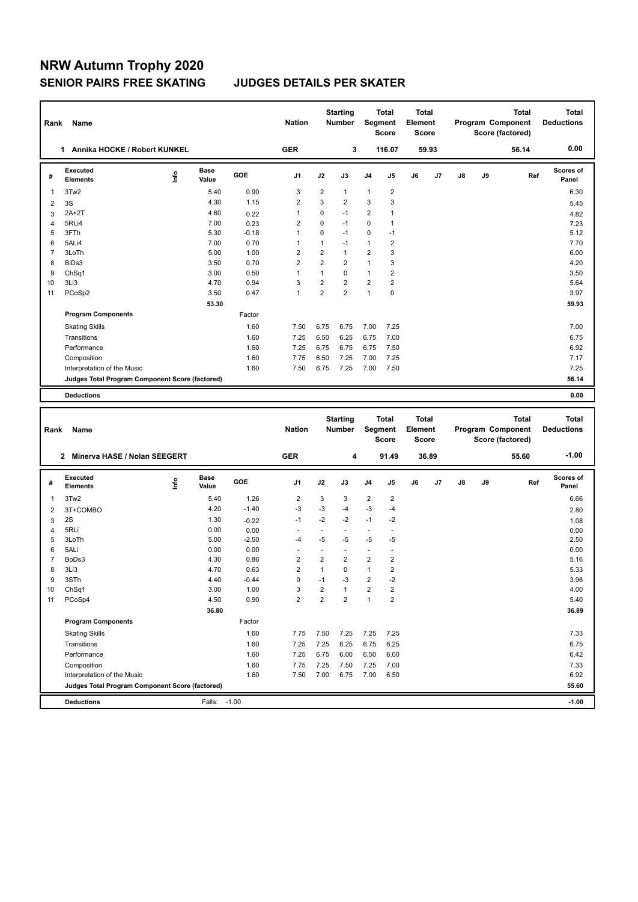## **NRW Autumn Trophy 2020 SENIOR PAIRS FREE SKATING JUDGES DETAILS PER SKATER**

| <b>Name</b><br>Rank |                                                 |      |                      |            | <b>Nation</b>  |                | <b>Starting</b><br><b>Number</b> | <b>Total</b><br>Segment<br><b>Score</b> |                         | <b>Total</b><br>Element<br><b>Score</b> |                | Program Component |    | <b>Total</b><br>Score (factored) | <b>Total</b><br><b>Deductions</b> |
|---------------------|-------------------------------------------------|------|----------------------|------------|----------------|----------------|----------------------------------|-----------------------------------------|-------------------------|-----------------------------------------|----------------|-------------------|----|----------------------------------|-----------------------------------|
|                     | Annika HOCKE / Robert KUNKEL<br>1.              |      |                      |            | <b>GER</b>     |                | 3                                |                                         | 116.07                  |                                         | 59.93          |                   |    | 56.14                            | 0.00                              |
| #                   | Executed<br><b>Elements</b>                     | lnfo | <b>Base</b><br>Value | <b>GOE</b> | J <sub>1</sub> | J2             | J3                               | J <sub>4</sub>                          | J <sub>5</sub>          | J6                                      | J <sub>7</sub> | J8                | J9 | Ref                              | <b>Scores of</b><br>Panel         |
| 1                   | 3Tw2                                            |      | 5.40                 | 0.90       | 3              | $\overline{2}$ | 1                                | $\mathbf{1}$                            | $\overline{\mathbf{c}}$ |                                         |                |                   |    |                                  | 6.30                              |
| 2                   | 3S                                              |      | 4.30                 | 1.15       | $\overline{2}$ | 3              | $\overline{2}$                   | 3                                       | 3                       |                                         |                |                   |    |                                  | 5.45                              |
| 3                   | $2A+2T$                                         |      | 4.60                 | 0.22       | $\mathbf{1}$   | 0              | $-1$                             | $\overline{2}$                          | 1                       |                                         |                |                   |    |                                  | 4.82                              |
| $\overline{4}$      | 5RLi4                                           |      | 7.00                 | 0.23       | 2              | 0              | $-1$                             | $\mathbf 0$                             | 1                       |                                         |                |                   |    |                                  | 7.23                              |
| 5                   | 3FTh                                            |      | 5.30                 | $-0.18$    | $\overline{1}$ | 0              | $-1$                             | $\mathbf 0$                             | $-1$                    |                                         |                |                   |    |                                  | 5.12                              |
| 6                   | 5ALi4                                           |      | 7.00                 | 0.70       | $\overline{1}$ | $\mathbf{1}$   | $-1$                             | $\mathbf{1}$                            | 2                       |                                         |                |                   |    |                                  | 7.70                              |
| $\overline{7}$      | 3LoTh                                           |      | 5.00                 | 1.00       | $\overline{2}$ | $\overline{2}$ | 1                                | $\overline{2}$                          | 3                       |                                         |                |                   |    |                                  | 6.00                              |
| 8                   | BiDs3                                           |      | 3.50                 | 0.70       | $\overline{2}$ | $\overline{2}$ | $\overline{2}$                   | $\mathbf{1}$                            | 3                       |                                         |                |                   |    |                                  | 4.20                              |
| 9                   | Ch <sub>Sq1</sub>                               |      | 3.00                 | 0.50       | $\overline{1}$ | 1              | $\Omega$                         | $\mathbf{1}$                            | $\overline{2}$          |                                         |                |                   |    |                                  | 3.50                              |
| 10                  | 3Li3                                            |      | 4.70                 | 0.94       | 3              | $\overline{2}$ | $\overline{2}$                   | $\overline{2}$                          | $\overline{2}$          |                                         |                |                   |    |                                  | 5.64                              |
| 11                  | PCoSp2                                          |      | 3.50                 | 0.47       | $\mathbf{1}$   | 2              | $\overline{2}$                   | $\overline{1}$                          | $\mathbf 0$             |                                         |                |                   |    |                                  | 3.97                              |
|                     |                                                 |      | 53.30                |            |                |                |                                  |                                         |                         |                                         |                |                   |    |                                  | 59.93                             |
|                     | <b>Program Components</b>                       |      |                      | Factor     |                |                |                                  |                                         |                         |                                         |                |                   |    |                                  |                                   |
|                     | <b>Skating Skills</b>                           |      |                      | 1.60       | 7.50           | 6.75           | 6.75                             | 7.00                                    | 7.25                    |                                         |                |                   |    |                                  | 7.00                              |
|                     | Transitions                                     |      |                      | 1.60       | 7.25           | 6.50           | 6.25                             | 6.75                                    | 7.00                    |                                         |                |                   |    |                                  | 6.75                              |
|                     | Performance                                     |      |                      | 1.60       | 7.25           | 6.75           | 6.75                             | 6.75                                    | 7.50                    |                                         |                |                   |    |                                  | 6.92                              |
|                     | Composition                                     |      |                      | 1.60       | 7.75           | 6.50           | 7.25                             | 7.00                                    | 7.25                    |                                         |                |                   |    |                                  | 7.17                              |
|                     | Interpretation of the Music                     |      |                      | 1.60       | 7.50           | 6.75           | 7.25                             | 7.00                                    | 7.50                    |                                         |                |                   |    |                                  | 7.25                              |
|                     | Judges Total Program Component Score (factored) |      |                      |            |                |                |                                  |                                         |                         |                                         |                |                   |    |                                  | 56.14                             |
|                     | <b>Deductions</b>                               |      |                      |            |                |                |                                  |                                         |                         |                                         |                |                   |    |                                  | 0.00                              |

| Rank           | Name                                            |      |                      |         | <b>Nation</b>  |                | <b>Starting</b><br><b>Number</b> | Segment                 | <b>Total</b><br><b>Score</b> | <b>Total</b><br>Element<br><b>Score</b> |       |    |    | <b>Total</b><br><b>Program Component</b><br>Score (factored) | <b>Total</b><br><b>Deductions</b> |
|----------------|-------------------------------------------------|------|----------------------|---------|----------------|----------------|----------------------------------|-------------------------|------------------------------|-----------------------------------------|-------|----|----|--------------------------------------------------------------|-----------------------------------|
|                | Minerva HASE / Nolan SEEGERT<br>2               |      |                      |         | <b>GER</b>     |                | 4                                |                         | 91.49                        |                                         | 36.89 |    |    | 55.60                                                        | $-1.00$                           |
| #              | Executed<br><b>Elements</b>                     | lnfo | <b>Base</b><br>Value | GOE     | J <sub>1</sub> | J2             | J3                               | J <sub>4</sub>          | J5                           | J6                                      | J7    | J8 | J9 | Ref                                                          | Scores of<br>Panel                |
| $\mathbf{1}$   | 3Tw2                                            |      | 5.40                 | 1.26    | 2              | 3              | 3                                | $\overline{\mathbf{c}}$ | $\overline{2}$               |                                         |       |    |    |                                                              | 6.66                              |
| 2              | 3T+COMBO                                        |      | 4.20                 | $-1.40$ | -3             | -3             | -4                               | $-3$                    | $-4$                         |                                         |       |    |    |                                                              | 2.80                              |
| 3              | 2S                                              |      | 1.30                 | $-0.22$ | $-1$           | $-2$           | $-2$                             | $-1$                    | $-2$                         |                                         |       |    |    |                                                              | 1.08                              |
| $\overline{4}$ | 5RLi                                            |      | 0.00                 | 0.00    |                | ٠              |                                  | $\sim$                  | ٠                            |                                         |       |    |    |                                                              | 0.00                              |
| 5              | 3LoTh                                           |      | 5.00                 | $-2.50$ | $-4$           | $-5$           | -5                               | $-5$                    | -5                           |                                         |       |    |    |                                                              | 2.50                              |
| 6              | 5ALi                                            |      | 0.00                 | 0.00    |                |                |                                  |                         |                              |                                         |       |    |    |                                                              | 0.00                              |
| $\overline{7}$ | BoDs3                                           |      | 4.30                 | 0.86    | $\overline{2}$ | $\overline{2}$ | $\overline{2}$                   | $\overline{2}$          | $\overline{2}$               |                                         |       |    |    |                                                              | 5.16                              |
| 8              | 3Li3                                            |      | 4.70                 | 0.63    | $\overline{2}$ | $\mathbf{1}$   | 0                                | $\mathbf{1}$            | 2                            |                                         |       |    |    |                                                              | 5.33                              |
| 9              | 3STh                                            |      | 4.40                 | $-0.44$ | $\mathbf 0$    | $-1$           | $-3$                             | $\overline{2}$          | $-2$                         |                                         |       |    |    |                                                              | 3.96                              |
| 10             | ChSq1                                           |      | 3.00                 | 1.00    | 3              | $\overline{2}$ | $\mathbf{1}$                     | $\overline{2}$          | $\overline{2}$               |                                         |       |    |    |                                                              | 4.00                              |
| 11             | PCoSp4                                          |      | 4.50                 | 0.90    | $\overline{2}$ | $\overline{2}$ | $\overline{2}$                   | $\mathbf{1}$            | $\overline{2}$               |                                         |       |    |    |                                                              | 5.40                              |
|                |                                                 |      | 36.80                |         |                |                |                                  |                         |                              |                                         |       |    |    |                                                              | 36.89                             |
|                | <b>Program Components</b>                       |      |                      | Factor  |                |                |                                  |                         |                              |                                         |       |    |    |                                                              |                                   |
|                | <b>Skating Skills</b>                           |      |                      | 1.60    | 7.75           | 7.50           | 7.25                             | 7.25                    | 7.25                         |                                         |       |    |    |                                                              | 7.33                              |
|                | Transitions                                     |      |                      | 1.60    | 7.25           | 7.25           | 6.25                             | 6.75                    | 6.25                         |                                         |       |    |    |                                                              | 6.75                              |
|                | Performance                                     |      |                      | 1.60    | 7.25           | 6.75           | 6.00                             | 6.50                    | 6.00                         |                                         |       |    |    |                                                              | 6.42                              |
|                | Composition                                     |      |                      | 1.60    | 7.75           | 7.25           | 7.50                             | 7.25                    | 7.00                         |                                         |       |    |    |                                                              | 7.33                              |
|                | Interpretation of the Music                     |      |                      | 1.60    | 7.50           | 7.00           | 6.75                             | 7.00                    | 6.50                         |                                         |       |    |    |                                                              | 6.92                              |
|                | Judges Total Program Component Score (factored) |      |                      |         |                |                |                                  |                         |                              |                                         |       |    |    |                                                              | 55.60                             |
|                | <b>Deductions</b>                               |      | Falls: -1.00         |         |                |                |                                  |                         |                              |                                         |       |    |    |                                                              | $-1.00$                           |